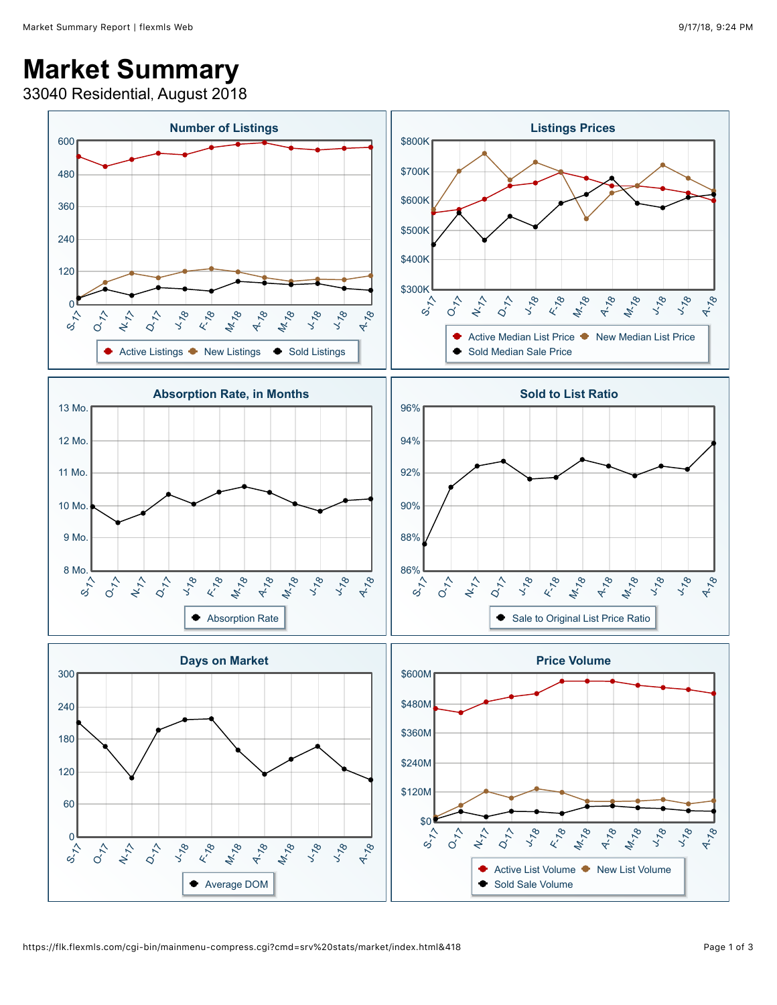## **Market Summary**

33040 Residential, August 2018

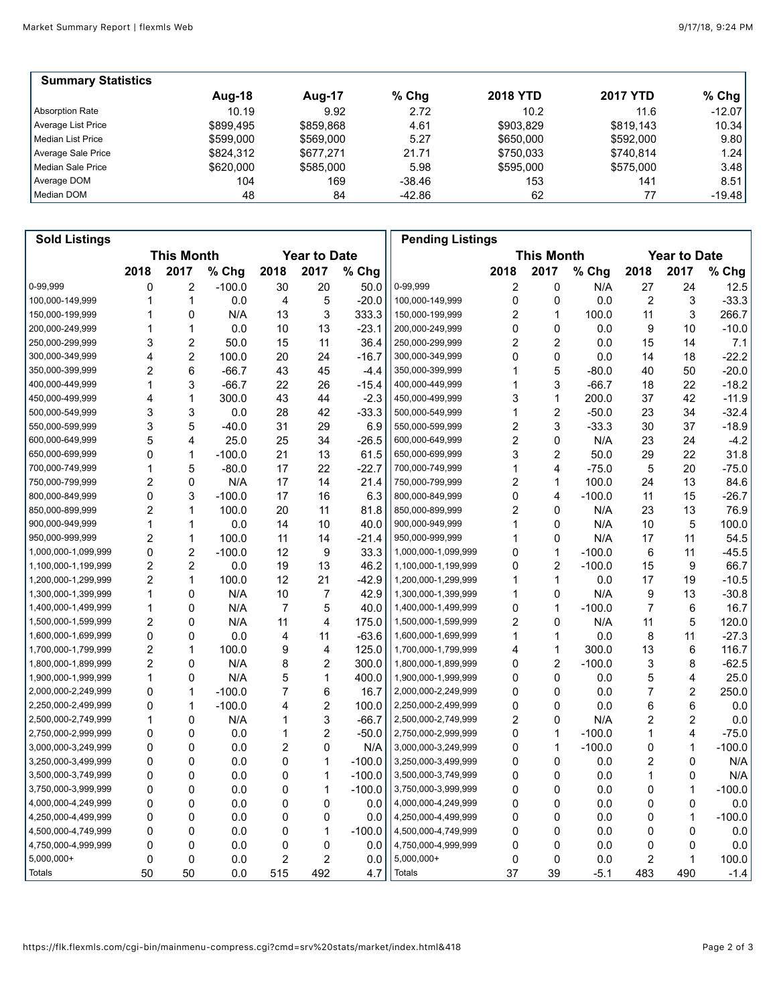| <b>Summary Statistics</b> |           |           |          |                 |                 |          |
|---------------------------|-----------|-----------|----------|-----------------|-----------------|----------|
|                           | Aug-18    | Aug-17    | % Chg    | <b>2018 YTD</b> | <b>2017 YTD</b> | $%$ Chg  |
| Absorption Rate           | 10.19     | 9.92      | 2.72     | 10.2            | 11.6            | $-12.07$ |
| Average List Price        | \$899.495 | \$859.868 | 4.61     | \$903,829       | \$819.143       | 10.34    |
| Median List Price         | \$599,000 | \$569,000 | 5.27     | \$650,000       | \$592,000       | 9.80     |
| Average Sale Price        | \$824.312 | \$677.271 | 21.71    | \$750.033       | \$740.814       | 1.24     |
| Median Sale Price         | \$620,000 | \$585,000 | 5.98     | \$595,000       | \$575,000       | 3.48     |
| Average DOM               | 104       | 169       | $-38.46$ | 153             | 141             | 8.51     |
| Median DOM                | 48        | 84        | -42.86   | 62              |                 | $-19.48$ |

| <b>Sold Listings</b> |                                          |                |          |                |                |          | <b>Pending Listings</b> |                |                |          |                     |                |          |
|----------------------|------------------------------------------|----------------|----------|----------------|----------------|----------|-------------------------|----------------|----------------|----------|---------------------|----------------|----------|
|                      | <b>This Month</b><br><b>Year to Date</b> |                |          |                |                |          | <b>This Month</b>       |                |                |          | <b>Year to Date</b> |                |          |
|                      | 2018                                     | 2017           | % Chg    | 2018           | 2017           | % Chg    |                         | 2018           | 2017           | % Chg    | 2018                | 2017           | % Chg    |
| 0-99,999             | 0                                        | 2              | $-100.0$ | 30             | 20             | 50.0     | 0-99,999                | 2              | 0              | N/A      | 27                  | 24             | 12.5     |
| 100,000-149,999      | 1                                        | 1              | 0.0      | 4              | 5              | $-20.0$  | 100,000-149,999         | 0              | 0              | 0.0      | $\overline{2}$      | 3              | $-33.3$  |
| 150,000-199,999      | 1                                        | 0              | N/A      | 13             | 3              | 333.3    | 150,000-199,999         | 2              | $\mathbf{1}$   | 100.0    | 11                  | 3              | 266.7    |
| 200,000-249,999      |                                          | 1              | 0.0      | 10             | 13             | $-23.1$  | 200,000-249,999         | 0              | 0              | 0.0      | 9                   | 10             | $-10.0$  |
| 250,000-299,999      | 3                                        | 2              | 50.0     | 15             | 11             | 36.4     | 250,000-299,999         | 2              | $\overline{c}$ | 0.0      | 15                  | 14             | 7.1      |
| 300,000-349,999      | 4                                        | 2              | 100.0    | 20             | 24             | $-16.7$  | 300,000-349,999         | 0              | 0              | 0.0      | 14                  | 18             | $-22.2$  |
| 350,000-399,999      | 2                                        | 6              | $-66.7$  | 43             | 45             | $-4.4$   | 350,000-399,999         | 1              | 5              | $-80.0$  | 40                  | 50             | $-20.0$  |
| 400,000-449,999      | 1                                        | 3              | $-66.7$  | 22             | 26             | $-15.4$  | 400,000-449,999         | 1              | 3              | $-66.7$  | 18                  | 22             | $-18.2$  |
| 450,000-499,999      | 4                                        | 1              | 300.0    | 43             | 44             | $-2.3$   | 450,000-499,999         | 3              | 1              | 200.0    | 37                  | 42             | $-11.9$  |
| 500,000-549,999      | 3                                        | 3              | 0.0      | 28             | 42             | $-33.3$  | 500,000-549,999         | 1              | $\overline{c}$ | $-50.0$  | 23                  | 34             | $-32.4$  |
| 550,000-599,999      | 3                                        | 5              | $-40.0$  | 31             | 29             | 6.9      | 550,000-599,999         | 2              | 3              | $-33.3$  | 30                  | 37             | $-18.9$  |
| 600,000-649,999      | 5                                        | 4              | 25.0     | 25             | 34             | $-26.5$  | 600,000-649,999         | 2              | 0              | N/A      | 23                  | 24             | $-4.2$   |
| 650,000-699,999      | 0                                        | 1              | $-100.0$ | 21             | 13             | 61.5     | 650,000-699,999         | 3              | $\overline{2}$ | 50.0     | 29                  | 22             | 31.8     |
| 700,000-749,999      |                                          | 5              | $-80.0$  | 17             | 22             | $-22.7$  | 700,000-749,999         | 1              | 4              | $-75.0$  | 5                   | 20             | $-75.0$  |
| 750,000-799,999      | $\overline{2}$                           | 0              | N/A      | 17             | 14             | 21.4     | 750,000-799,999         | 2              | 1              | 100.0    | 24                  | 13             | 84.6     |
| 800,000-849,999      | 0                                        | 3              | $-100.0$ | 17             | 16             | 6.3      | 800,000-849,999         | 0              | 4              | $-100.0$ | 11                  | 15             | $-26.7$  |
| 850,000-899,999      | $\overline{c}$                           | 1              | 100.0    | 20             | 11             | 81.8     | 850,000-899,999         | $\overline{2}$ | 0              | N/A      | 23                  | 13             | 76.9     |
| 900,000-949,999      | 1                                        | 1              | 0.0      | 14             | 10             | 40.0     | 900,000-949,999         | 1              | 0              | N/A      | 10                  | 5              | 100.0    |
| 950,000-999,999      | 2                                        | 1              | 100.0    | 11             | 14             | $-21.4$  | 950,000-999,999         | 1              | 0              | N/A      | 17                  | 11             | 54.5     |
| 1,000,000-1,099,999  | 0                                        | $\overline{c}$ | $-100.0$ | 12             | 9              | 33.3     | 1,000,000-1,099,999     | 0              | 1              | $-100.0$ | 6                   | 11             | $-45.5$  |
| 1,100,000-1,199,999  | 2                                        | $\overline{c}$ | 0.0      | 19             | 13             | 46.2     | 1,100,000-1,199,999     | 0              | 2              | $-100.0$ | 15                  | 9              | 66.7     |
| 1,200,000-1,299,999  | $\overline{c}$                           | 1              | 100.0    | 12             | 21             | $-42.9$  | 1,200,000-1,299,999     | 1              | 1              | 0.0      | 17                  | 19             | $-10.5$  |
| 1,300,000-1,399,999  | 1                                        | 0              | N/A      | 10             | 7              | 42.9     | 1,300,000-1,399,999     | 1              | 0              | N/A      | 9                   | 13             | $-30.8$  |
| 1,400,000-1,499,999  | 1                                        | 0              | N/A      | $\overline{7}$ | 5              | 40.0     | 1,400,000-1,499,999     | 0              | 1              | $-100.0$ | $\overline{7}$      | 6              | 16.7     |
| 1,500,000-1,599,999  | 2                                        | 0              | N/A      | 11             | 4              | 175.0    | 1,500,000-1,599,999     | 2              | 0              | N/A      | 11                  | 5              | 120.0    |
| 1,600,000-1,699,999  | 0                                        | 0              | 0.0      | 4              | 11             | $-63.6$  | 1,600,000-1,699,999     | 1              | $\mathbf{1}$   | 0.0      | 8                   | 11             | $-27.3$  |
| 1,700,000-1,799,999  | 2                                        | 1              | 100.0    | 9              | 4              | 125.0    | 1,700,000-1,799,999     | 4              | 1              | 300.0    | 13                  | 6              | 116.7    |
| 1,800,000-1,899,999  | $\overline{2}$                           | 0              | N/A      | 8              | $\overline{2}$ | 300.0    | 1,800,000-1,899,999     | 0              | $\overline{c}$ | $-100.0$ | 3                   | 8              | $-62.5$  |
| 1,900,000-1,999,999  | 1                                        | 0              | N/A      | 5              | 1              | 400.0    | 1,900,000-1,999,999     | 0              | 0              | 0.0      | 5                   | 4              | 25.0     |
| 2,000,000-2,249,999  | 0                                        | 1              | $-100.0$ | 7              | 6              | 16.7     | 2,000,000-2,249,999     | 0              | 0              | 0.0      | $\overline{7}$      | $\overline{2}$ | 250.0    |
| 2,250,000-2,499,999  | 0                                        | 1              | $-100.0$ | 4              | 2              | 100.0    | 2,250,000-2,499,999     | 0              | 0              | 0.0      | 6                   | 6              | 0.0      |
| 2,500,000-2,749,999  | 1                                        | 0              | N/A      | 1              | 3              | $-66.7$  | 2,500,000-2,749,999     | 2              | 0              | N/A      | 2                   | 2              | 0.0      |
| 2,750,000-2,999,999  | 0                                        | 0              | 0.0      | 1              | $\overline{2}$ | $-50.0$  | 2,750,000-2,999,999     | 0              | 1              | $-100.0$ | 1                   | $\overline{4}$ | $-75.0$  |
| 3,000,000-3,249,999  | 0                                        | 0              | 0.0      | $\overline{c}$ | 0              | N/A      | 3,000,000-3,249,999     | 0              | 1              | $-100.0$ | 0                   | 1              | $-100.0$ |
| 3,250,000-3,499,999  | 0                                        | 0              | 0.0      | 0              | 1              | $-100.0$ | 3,250,000-3,499,999     | 0              | 0              | 0.0      | 2                   | $\mathbf 0$    | N/A      |
| 3,500,000-3,749,999  | 0                                        | 0              | 0.0      | 0              | 1              | $-100.0$ | 3,500,000-3,749,999     | 0              | 0              | 0.0      | 1                   | 0              | N/A      |
| 3,750,000-3,999,999  | 0                                        | 0              | 0.0      | 0              | $\mathbf{1}$   | $-100.0$ | 3,750,000-3,999,999     | 0              | 0              | 0.0      | 0                   | 1              | $-100.0$ |
| 4,000,000-4,249,999  | 0                                        | 0              | 0.0      | 0              | 0              | 0.0      | 4,000,000-4,249,999     | 0              | $\Omega$       | 0.0      | 0                   | 0              | $0.0\,$  |
| 4,250,000-4,499,999  | 0                                        | 0              | 0.0      | 0              | 0              | 0.0      | 4,250,000-4,499,999     | 0              | 0              | 0.0      | 0                   | 1              | $-100.0$ |
| 4,500,000-4,749,999  | 0                                        | 0              | 0.0      | 0              | 1              | $-100.0$ | 4,500,000-4,749,999     | 0              | 0              | 0.0      | 0                   | $\mathbf 0$    | 0.0      |
| 4,750,000-4,999,999  | 0                                        | 0              | 0.0      | 0              | 0              | 0.0      | 4,750,000-4,999,999     | 0              | 0              | 0.0      | 0                   | $\mathbf 0$    | 0.0      |
| $5,000,000+$         | 0                                        | 0              | 0.0      | 2              | $\overline{2}$ | 0.0      | 5,000,000+              | 0              | 0              | 0.0      | 2                   | 1              | 100.0    |
| Totals               | 50                                       | 50             | 0.0      | 515            | 492            | 4.7      | Totals                  | 37             | 39             | $-5.1$   | 483                 | 490            | $-1.4$   |